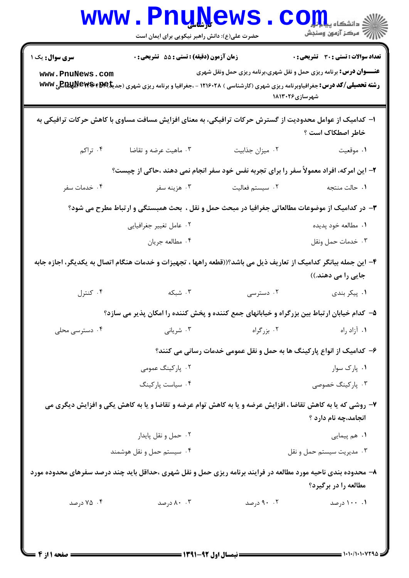| <b>WWW</b>                                                                                                                             | حضرت علی(ع): دانش راهبر نیکویی برای ایمان است | <b>Funnews</b>                               | دانشگاه پی <mark>ا ب</mark> ا ت <mark>و</mark> ر<br>أآآه مرکز آزمون وسنجش                                                                                                                                                                                                           |  |
|----------------------------------------------------------------------------------------------------------------------------------------|-----------------------------------------------|----------------------------------------------|-------------------------------------------------------------------------------------------------------------------------------------------------------------------------------------------------------------------------------------------------------------------------------------|--|
| <b>سری سوال :</b> یک ۱<br>www.PnuNews.com                                                                                              | زمان آزمون (دقیقه) : تستی : 55 تشریحی : 0     |                                              | <b>تعداد سوالات : تستی : 30 ٪ تشریحی : 0</b><br><b>عنـــوان درس:</b> برنامه ریزی حمل و نقل شهری،برنامه ریزی حمل ونقل شهری<br><b>رشته تحصیلی/کد درس:</b> جغرافیاوبرنامه ریزی شهری (کارشناسی ) ۱۲۱۶۰۲۸ - ،جغرافیا و برنامه ریزی شهری (جدیک <b>ا REGLUNEWS #B) ب</b><br>شهرسازی۱۸۱۳۰۲۶ |  |
|                                                                                                                                        |                                               |                                              | ا– کدامیک از عوامل محدودیت از گسترش حرکات ترافیکی، به معنای افزایش مسافت مساوی با کاهش حرکات ترافیکی به<br>خاطر اصطكاك است ؟                                                                                                                                                        |  |
| ۰۴ تراکم                                                                                                                               | ۰۳ ماهیت عرضه و تقاضا                         | ٠٢ ميزان جذابيت                              | ١. موقعيت                                                                                                                                                                                                                                                                           |  |
| ۲- این امرکه، افراد معمولاً سفر را برای تجربه نفس خود سفر انجام نمی دهند ،حاکی از چیست؟                                                |                                               |                                              |                                                                                                                                                                                                                                                                                     |  |
| ۰۴ خدمات سفر                                                                                                                           | ۰۳ هزينه سفر                                  | ۰۲ سیستم فعالیت                              | ٠١ حالت منتجه                                                                                                                                                                                                                                                                       |  |
|                                                                                                                                        |                                               |                                              | ۳- در کدامیک از موضوعات مطالعاتی جغرافیا در مبحث حمل و نقل ، بحث همبستگی و ارتباط مطرح می شود؟                                                                                                                                                                                      |  |
|                                                                                                                                        | ۰۲ عامل تغییر جغرافیایی                       |                                              | ۰۱ مطالعه خود پدیده                                                                                                                                                                                                                                                                 |  |
|                                                                                                                                        | ۰۴ مطالعه جريان                               |                                              | ٠٣ خدمات حمل ونقل                                                                                                                                                                                                                                                                   |  |
| ۴- این جمله بیانگر کدامیک از تعاریف ذیل می باشد؟((قطعه راهها ، تجهیزات و خدمات هنگام اتصال به یکدیگر، اجازه جابه<br>جایی را می دهند.)) |                                               |                                              |                                                                                                                                                                                                                                                                                     |  |
| ۰۴ کنترل                                                                                                                               | ۰۳ شبکه                                       | ۰۲ دسترسی                                    | ۰۱ پیکر بندی                                                                                                                                                                                                                                                                        |  |
|                                                                                                                                        |                                               |                                              | ۵– کدام خیابان ارتباط بین بزرگراه و خیابانهای جمع کننده و پخش کننده را امکان پذیر می سازد؟                                                                                                                                                                                          |  |
| ۰۴ دسترسی محلی                                                                                                                         | ۰۳ شریانی                                     | ۰۲ بزرگراه                                   | ١. آزاد راه                                                                                                                                                                                                                                                                         |  |
|                                                                                                                                        |                                               |                                              | ۶– کدامیک از انواع پارکینگ ها به حمل و نقل عمومی خدمات رسانی می کنند؟                                                                                                                                                                                                               |  |
|                                                                                                                                        | ۰۲ پارکینگ عمومی                              |                                              | ۰۱ پارک سوار                                                                                                                                                                                                                                                                        |  |
|                                                                                                                                        | ۰۴ سیاست پارکینگ                              |                                              | ۰۳ پارکینگ خصوصی                                                                                                                                                                                                                                                                    |  |
|                                                                                                                                        |                                               |                                              | ۷- روشی که یا به کاهش تقاضا ، افزایش عرضه و یا به کاهش توام عرضه و تقاضا و یا به کاهش یکی و افزایش دیگری می<br>انجامد،چه نام دارد ؟                                                                                                                                                 |  |
|                                                                                                                                        | ۰۲ حمل و نقل پایدار                           |                                              | ۰۱ هم پیمایی                                                                                                                                                                                                                                                                        |  |
|                                                                                                                                        | ۰۴ سیستم حمل و نقل هوشمند                     |                                              | ۰۳ مديريت سيستم حمل و نقل                                                                                                                                                                                                                                                           |  |
|                                                                                                                                        |                                               |                                              | ۸– محدوده بندی ناحیه مورد مطالعه در فرایند برنامه ریزی حمل و نقل شهری ،حداقل باید چند درصد سفرهای محدوده مورد<br>مطالعه را در برگیرد؟                                                                                                                                               |  |
| ۰۴ درصد                                                                                                                                | ۰.۲ درصد                                      | ۰۰ . ۹۰ درصد                                 | ۰۰ ۱۰۰ درصد                                                                                                                                                                                                                                                                         |  |
|                                                                                                                                        |                                               | $=$ (Was averaged to the second contract $=$ | 1.1.11.1.179A                                                                                                                                                                                                                                                                       |  |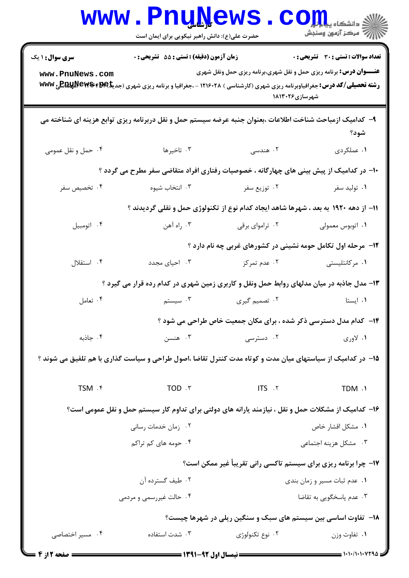|                                                                                     | WWW.Pnunews.com<br>حضرت علی(ع): دانش راهبر نیکویی برای ایمان است                                                                                  |                                 | أأأأ عركز آزمون وسنجش                                                                       |  |  |
|-------------------------------------------------------------------------------------|---------------------------------------------------------------------------------------------------------------------------------------------------|---------------------------------|---------------------------------------------------------------------------------------------|--|--|
| <b>سری سوال : ۱ یک</b>                                                              | زمان آزمون (دقیقه) : تستی : 55 آتشریحی : 0                                                                                                        |                                 | <b>تعداد سوالات : تستی : 30 ٪ تشریحی : 0</b>                                                |  |  |
| www.PnuNews.com                                                                     | <b>رشته تحصیلی/کد درس:</b> جغرافیاوبرنامه ریزی شهری (کارشناسی ) ۱۲۱۶۰۲۸ - ،جغرافیا و برنامه ریزی شهری (جدیک <b>ا REWS #EME &amp; F&amp;P) ب</b> ی |                                 | <b>عنـــوان درس:</b> برنامه ریزی حمل و نقل شهری،برنامه ریزی حمل ونقل شهری<br>شهرسازی۲۶+۱۸۱۳ |  |  |
|                                                                                     | ۹– کدامیک ازمباحث شناخت اطلاعات ،بعنوان جنبه عرضه سیستم حمل و نقل دربرنامه ریزی توابع هزینه ای شناخته می                                          |                                 | شود؟                                                                                        |  |  |
| ۰۴ حمل و نقل عمومی                                                                  | ۰۳ تاخیرها                                                                                                                                        | ۰۲ هندسی                        | ١. عملكردي                                                                                  |  |  |
|                                                                                     | ∙ا– در کدامیک از پیش بینی های چهارگانه ، خصوصیات رفتاری افراد متقاضی سفر مطرح می گردد ؟                                                           |                                 |                                                                                             |  |  |
| ۰۴ تخصیص سفر                                                                        |                                                                                                                                                   | ۰۲ توزیع سفر مستقال استخاب شیوه | ۰۱ تولید سفر                                                                                |  |  |
| 11- از دهه ۱۹۲۰ به بعد ، شهرها شاهد ایجاد کدام نوع از تکنولوژی حمل و نقلی گردیدند ؟ |                                                                                                                                                   |                                 |                                                                                             |  |  |
| ۰۴ اتومبيل                                                                          | ۰۳ راه آهن                                                                                                                                        | ۰۲ تراموای برقی                 | ٠١. اتوبوس معمولي                                                                           |  |  |
|                                                                                     |                                                                                                                                                   |                                 | ۱۲- مرحله اول تکامل حومه نشینی در کشورهای غربی چه نام دارد ؟                                |  |  |
| ۰۴ استقلال                                                                          | ۰۳ احیای مجدد                                                                                                                                     | ۰۲ عدم تمرکز                    | ۰۱ مرکانتلیستی                                                                              |  |  |
|                                                                                     | ۱۳- مدل جاذبه در میان مدلهای روابط حمل ونقل و کاربری زمین شهری در کدام رده قرار می گیرد ؟                                                         |                                 |                                                                                             |  |  |
| ۰۴ تعامل                                                                            |                                                                                                                                                   | ۰۲ تصمیم گیری مسیستم (۲۰ سیستم  | ۰۱ ایستا                                                                                    |  |  |
|                                                                                     |                                                                                                                                                   |                                 | ۱۴- کدام مدل دسترسی ذکر شده ، برای مکان جمعیت خاص طراحی می شود ؟                            |  |  |
| ۰۴ جاذبه                                                                            | ۰۳ هنسن                                                                                                                                           | ۰۲ دسترسی                       | ۰۱ لاوري                                                                                    |  |  |
|                                                                                     | ۱۵– در کدامیک از سیاستهای میان مدت و کوتاه مدت کنترل تقاضا ،اصول طراحی و سیاست گذاری با هم تلفیق می شوند ؟                                        |                                 |                                                                                             |  |  |
| TSM . ۴                                                                             | TOD . ٣                                                                                                                                           | <b>ITS</b> . ٢                  | TDM .1                                                                                      |  |  |
|                                                                                     | ۱۶– کدامیک از مشکلات حمل و نقل ، نیازمند یارانه های دولتی برای تداوم کار سیستم حمل و نقل عمومی است؟                                               |                                 |                                                                                             |  |  |
|                                                                                     | ۰۲ زمان خدمات رسانی                                                                                                                               |                                 | ۰۱ مشکل اقشار خاص                                                                           |  |  |
|                                                                                     | ۰۴ حومه های کم تراکم                                                                                                                              |                                 | ۰۳ مشکل هزینه اجتماعی                                                                       |  |  |
|                                                                                     |                                                                                                                                                   |                                 | ۱۷- چرا برنامه ریزی برای سیستم تاکسی رانی تقریباً غیر ممکن است؟                             |  |  |
|                                                                                     | ۰۲ طیف گسترده آن                                                                                                                                  | ۰۱ عدم ثبات مسير و زمان بندى    |                                                                                             |  |  |
|                                                                                     | ۰۴ حالت غیررسمی و مردمی                                                                                                                           |                                 | ۰۳ عدم پاسخگویی به تقاضا                                                                    |  |  |
|                                                                                     |                                                                                                                                                   |                                 | ۱۸– تفاوت اساسی بین سیستم های سبک و سنگین ریلی در شهرها چیست؟                               |  |  |
| ۰۴ مسیر اختصاصی                                                                     | ٠٣ شدت استفاده                                                                                                                                    | ۰۲ نوع تکنولوژی                 | ۰۱ تفاوت وزن                                                                                |  |  |
| = صفحه 12ز 4                                                                        |                                                                                                                                                   |                                 |                                                                                             |  |  |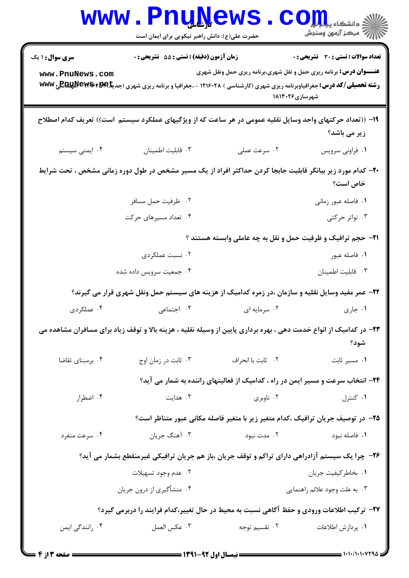| <b>WWW</b>                                                                                        | <b>Lunivemp</b><br>حضرت علی(ع): دانش راهبر نیکویی برای ایمان است                                                                                  |                                                                                             | دانشکاه پیا با با <mark>ر</mark><br>رآ - مرڪز آزمون وسنڊش |  |
|---------------------------------------------------------------------------------------------------|---------------------------------------------------------------------------------------------------------------------------------------------------|---------------------------------------------------------------------------------------------|-----------------------------------------------------------|--|
| <b>سری سوال : ۱ یک</b>                                                                            | زمان آزمون (دقیقه) : تستی : 55 آتشریحی : 0                                                                                                        |                                                                                             | تعداد سوالات : تستى : 30 - تشريحي : 0                     |  |
| www.PnuNews.com                                                                                   | <b>رشته تحصیلی/کد درس:</b> جغرافیاوبرنامه ریزی شهری (کارشناسی ) ۱۲۱۶۰۲۸ - ،جغرافیا و برنامه ریزی شهری (جدیک <b>ا REWS #EME &amp; F&amp;P) ب</b> ی | <b>عنـــوان درس:</b> برنامه ریزی حمل و نقل شهری،برنامه ریزی حمل ونقل شهری<br>شهرسازی۱۸۱۳۰۲۶ |                                                           |  |
|                                                                                                   | ۱۹– ((تعداد حرکتهای واحد وسایل نقلیه عمومی در هر ساعت که از ویژگیهای عملکرد سیستم است)) تعریف کدام اصطلاح                                         |                                                                                             | زیر می باشد؟                                              |  |
| ۰۴ ایمنی سیستم                                                                                    | ٠٣ قابليت اطمينان                                                                                                                                 | ۰۲ سرعت عملی                                                                                | ٠١ فراوني سرويس                                           |  |
|                                                                                                   | ۲۰– کدام مورد زیر بیانگر قابلیت جابجا کردن حداکثر افراد از یک مسیر مشخص در طول دوره زمانی مشخص ، تحت شرایط                                        |                                                                                             | خاص است؟                                                  |  |
|                                                                                                   | ۰۲ ظرفیت حمل مسافر                                                                                                                                |                                                                                             | ٠١. فاصله عبور زماني                                      |  |
|                                                                                                   | ۰۴ تعداد مسیرهای حرکت                                                                                                                             |                                                                                             | ۰۳ تواتر حرکتی                                            |  |
|                                                                                                   |                                                                                                                                                   | <b>۲۱</b> - حجم ترافیک و ظرفیت حمل و نقل به چه عاملی وابسته هستند ؟                         |                                                           |  |
|                                                                                                   | ۰۲ نسبت عملکردی                                                                                                                                   |                                                                                             | ۰۱ فاصله عبور                                             |  |
|                                                                                                   | ۰۴ جمعیت سرویس داده شده                                                                                                                           |                                                                                             | ٠٣ قابليت اطمينان                                         |  |
|                                                                                                   | ۲۲- عمر مفید وسایل نقلیه و سازمان ،در زمره کدامیک از هزینه های سیستم حمل ونقل شهری قرار می گیرند؟                                                 |                                                                                             |                                                           |  |
| ۰۴ عملکردی                                                                                        | ۰۳ اجتماعی                                                                                                                                        | ۰۲ سرمایه ای                                                                                | ۰۱ جاري                                                   |  |
|                                                                                                   | ۲۳– در کدامیک از انواع خدمت دهی ، بهره برداری پایین از وسیله نقلیه ، هزینه بالا و توقف زیاد برای مسافران مشاهده می                                |                                                                                             | شود؟                                                      |  |
| ۰۴ برمبنای تقاضا                                                                                  | ۰۳ ثابت در زمان اوج                                                                                                                               | ٢.   ثابت با انحراف                                                                         | ۰۱ مسیر ثابت                                              |  |
|                                                                                                   |                                                                                                                                                   | ۲۴- انتخاب سرعت و مسیر ایمن در راه ، کدامیک از فعالیتهای راننده به شمار می آید؟             |                                                           |  |
| ۰۴ اضطرار                                                                                         | ۰۳ هدایت                                                                                                                                          | ۰۲ ناوبری                                                                                   | ۰۱ کنترل                                                  |  |
|                                                                                                   |                                                                                                                                                   | ۲۵– در توصیف جریان ترافیک ،کدام متغیر زیر با متغیر فاصله مکانی عبور متناظر است؟             |                                                           |  |
| ۰۴ سرعت منفرد                                                                                     | ۰۳ آهنگ جريان                                                                                                                                     | ۰۲ مدت نبود                                                                                 | ٠١ فاصله نبود                                             |  |
|                                                                                                   | ۲۶- چرا یک سیستم آزادراهی دارای تراکم و توقف جریان ،باز هم جریان ترافیکی غیرمنقطع بشمار می آید؟                                                   |                                                                                             |                                                           |  |
|                                                                                                   | ۰۲ عدم وجود تسهيلات                                                                                                                               |                                                                                             | ٠١. بخاطركيفيت جريان                                      |  |
|                                                                                                   | ۰۴ منشأگیري از درون جريان                                                                                                                         |                                                                                             | ۰۳ به علت وجود علائم راهنمايي                             |  |
| <b>3</b> ۲- ترکیب اطلاعات ورودی و حفظ آگاهی نسبت به محیط در حال تغییر،کدام فرایند را دربرمی گیرد؟ |                                                                                                                                                   |                                                                                             |                                                           |  |
| ۰۴ رانندگی ایمن                                                                                   | ٠٣ عكس العمل                                                                                                                                      | ۰۲ تقسیم توجه                                                                               | ٠١. پردازش اطلاعات                                        |  |
|                                                                                                   |                                                                                                                                                   |                                                                                             |                                                           |  |